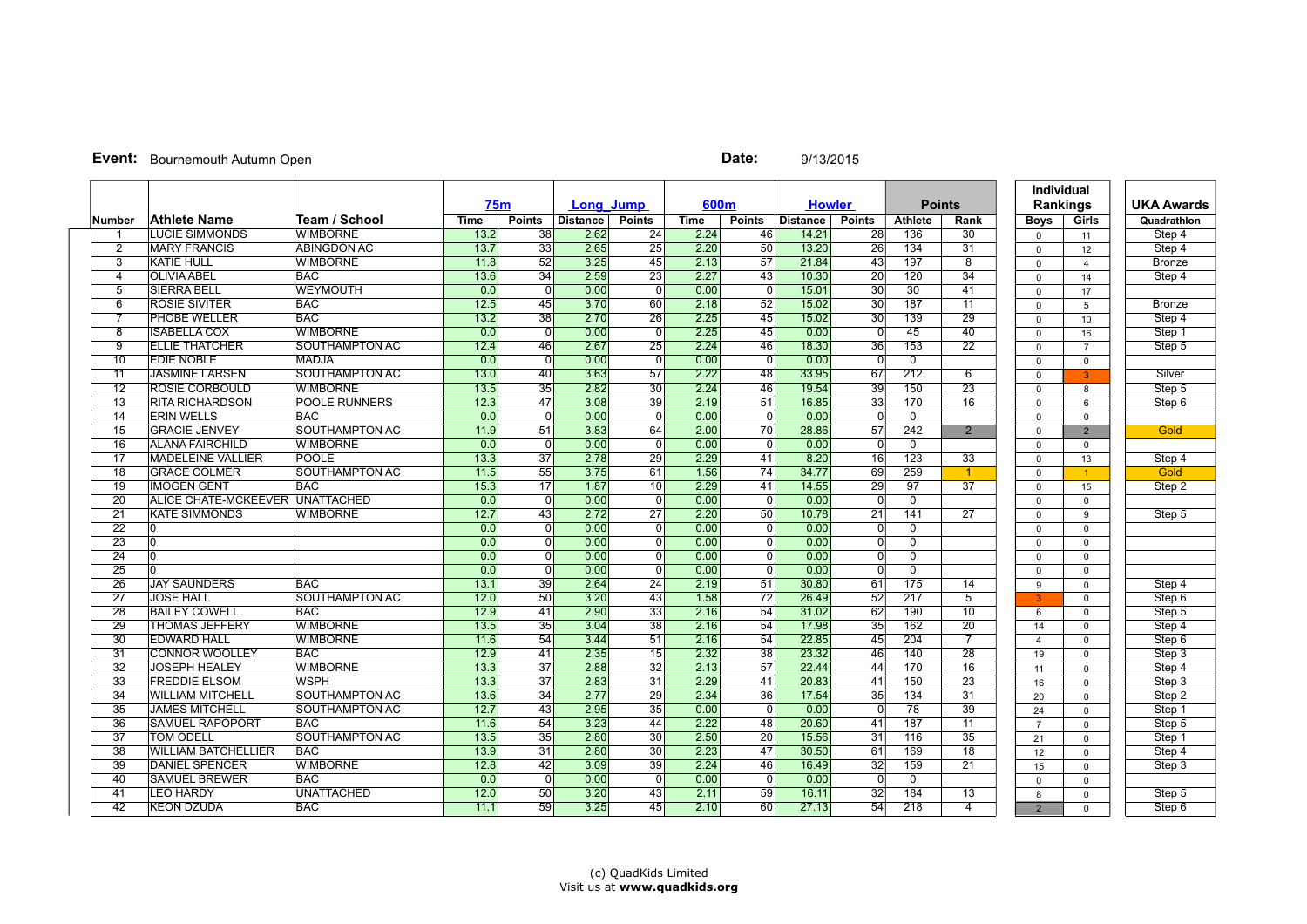## **Event:** Bournemouth Autumn Open **Date:** 9/13/2015

|                 |                                 |                       | 75 <sub>m</sub> |                         | Long Jump |                 | 600m        |                         | <b>Howler</b>   |                 | <b>Points</b>             |                      | <b>Individual</b><br>Rankings |                | <b>UKA Awards</b> |
|-----------------|---------------------------------|-----------------------|-----------------|-------------------------|-----------|-----------------|-------------|-------------------------|-----------------|-----------------|---------------------------|----------------------|-------------------------------|----------------|-------------------|
| <b>Number</b>   | <b>Athlete Name</b>             | Team / School         | Time            | <b>Points</b>           | Distance  | <b>Points</b>   | <b>Time</b> | <b>Points</b>           | <b>Distance</b> | <b>Points</b>   | <b>Athlete</b>            | Rank                 | <b>Boys</b>                   | Girls          | Quadrathlon       |
| -1              | <b>LUCIE SIMMONDS</b>           | <b>WIMBORNE</b>       | 13.2            | 38                      | 2.62      | $\overline{24}$ | 2.24        | 46                      | 14.21           | 28              | 136                       | 30                   | $\Omega$                      | 11             | Step 4            |
| $\overline{2}$  | <b>MARY FRANCIS</b>             | <b>ABINGDON AC</b>    | 13.7            | 33                      | 2.65      | $\overline{25}$ | 2.20        | $\overline{50}$         | 13.20           | $\overline{26}$ | 134                       | 31                   | $\Omega$                      | 12             | Step 4            |
| $\overline{3}$  | <b>KATIE HULL</b>               | <b>WIMBORNE</b>       | 11.8            | $\overline{52}$         | 3.25      | 45              | 2.13        | $\overline{57}$         | 21.84           | $\overline{43}$ | 197                       | $\overline{8}$       | $\mathbf{0}$                  | $\overline{4}$ | Bronze            |
| $\overline{4}$  | <b>OLIVIA ABEL</b>              | <b>BAC</b>            | 13.6            | $\overline{34}$         | 2.59      | $\overline{23}$ | 2.27        | $\overline{43}$         | 10.30           | $\overline{20}$ | $\overline{120}$          | $\overline{34}$      | $\Omega$                      | 14             | Step 4            |
| $\overline{5}$  | <b>SIERRA BELL</b>              | <b>WEYMOUTH</b>       | 0.0             | $\overline{0}$          | 0.00      | $\overline{0}$  | 0.00        | $\overline{0}$          | 15.01           | 30              | 30                        | 41                   | $\Omega$                      | 17             |                   |
| 6               | <b>ROSIE SIVITER</b>            | <b>BAC</b>            | 12.5            | 45                      | 3.70      | 60              | 2.18        | $\overline{52}$         | 15.02           | $\overline{30}$ | 187                       | $\overline{11}$      | $\mathbf{0}$                  | 5              | <b>Bronze</b>     |
| $\overline{7}$  | <b>PHOBE WELLER</b>             | <b>BAC</b>            | 13.2            | 38                      | 2.70      | $\overline{26}$ | 2.25        | $\overline{45}$         | 15.02           | 30              | 139                       | $\overline{29}$      | $\Omega$                      | 10             | Step 4            |
| 8               | <b>ISABELLA COX</b>             | <b>WIMBORNE</b>       | 0.0             | $\overline{0}$          | 0.00      | $\overline{0}$  | 2.25        | 45                      | 0.00            | $\overline{0}$  | 45                        | 40                   | $\Omega$                      | 16             | Step 1            |
| $\overline{9}$  | <b>ELLIE THATCHER</b>           | SOUTHAMPTON AC        | 12.4            | 46                      | 2.67      | 25              | 2.24        | 46                      | 18.30           | 36              | 153                       | $\overline{22}$      | $\mathbf{0}$                  | $\overline{7}$ | Step 5            |
| 10              | <b>EDIE NOBLE</b>               | <b>MADJA</b>          | 0.0             | $\overline{0}$          | 0.00      | $\overline{0}$  | 0.00        | $\overline{0}$          | 0.00            | $\overline{0}$  | $\overline{0}$            |                      | $\Omega$                      | $\Omega$       |                   |
| 11              | <b>JASMINE LARSEN</b>           | SOUTHAMPTON AC        | 13.0            | 40                      | 3.63      | 57              | 2.22        | 48                      | 33.95           | 67              | 212                       | 6                    | $\Omega$                      | $\mathbf{R}$   | Silver            |
| $\overline{12}$ | <b>ROSIE CORBOULD</b>           | <b>WIMBORNE</b>       | 13.5            | $\overline{35}$         | 2.82      | $\overline{30}$ | 2.24        | 46                      | 19.54           | $\overline{39}$ | 150                       | $\overline{23}$      | $\Omega$                      | 8              | Step 5            |
| $\overline{13}$ | <b>RITA RICHARDSON</b>          | <b>POOLE RUNNERS</b>  | 12.3            | 47                      | 3.08      | $\overline{39}$ | 2.19        | 51                      | 16.85           | $\overline{33}$ | 170                       | 16                   | $\Omega$                      | 6              | Step 6            |
| $\overline{14}$ | <b>IERIN WELLS</b>              | <b>BAC</b>            | 0.0             | $\overline{\mathbf{0}}$ | 0.00      | 0               | 0.00        | $\overline{\mathbf{0}}$ | 0.00            | $\Omega$        | $\overline{0}$            |                      | $\Omega$                      | $\Omega$       |                   |
| 15              | <b>GRACIE JENVEY</b>            | SOUTHAMPTON AC        | 11.9            | 51                      | 3.83      | 64              | 2.00        | $\overline{70}$         | 28.86           | 57              | 242                       | $\overline{2}$       | $\mathbf{0}$                  | $\overline{2}$ | Gold              |
| $\overline{16}$ | <b>ALANA FAIRCHILD</b>          | WIMBORNE              | 0.0             | $\Omega$                | 0.00      | $\Omega$        | 0.00        | $\overline{0}$          | 0.00            | $\overline{0}$  | $\Omega$                  |                      | $\Omega$                      | $\Omega$       |                   |
| $\overline{17}$ | <b>MADELEINE VALLIER</b>        | <b>POOLE</b>          | 13.3            | $\overline{37}$         | 2.78      | 29              | 2.29        | 41                      | 8.20            | 16              | 123                       | $\overline{33}$      | $\Omega$                      | 13             | Step 4            |
| $\overline{18}$ | <b>GRACE COLMER</b>             | SOUTHAMPTON AC        | 11.5            | $\overline{55}$         | 3.75      | 61              | 1.56        | 74                      | 34.77           | 69              | 259                       | $\blacktriangleleft$ | $\Omega$                      | 1              | Gold              |
| 19              | <b>IMOGEN GENT</b>              | <b>BAC</b>            | 15.3            | $\overline{17}$         | 1.87      | 10              | 2.29        | 41                      | 14.55           | 29              | 97                        | $\overline{37}$      | $\Omega$                      | 15             | Step 2            |
| $\overline{20}$ | ALICE CHATE-MCKEEVER UNATTACHED |                       | 0.0             | $\overline{0}$          | 0.00      | 0               | 0.00        | $\overline{0}$          | 0.00            | $\Omega$        | $\overline{0}$            |                      | $\mathbf{0}$                  | $\mathbf 0$    |                   |
| $\overline{21}$ | <b>KATE SIMMONDS</b>            | <b>WIMBORNE</b>       | 12.7            | 43                      | 2.72      | $\overline{27}$ | 2.20        | 50                      | 10.78           | $\overline{21}$ | 141                       | $\overline{27}$      | $\Omega$                      | 9              | Step 5            |
| $\overline{22}$ | 0                               |                       | 0.0             | $\overline{0}$          | 0.00      | 0               | 0.00        | $\Omega$                | 0.00            | $\overline{0}$  | $\overline{0}$            |                      | $\Omega$                      | $\Omega$       |                   |
| $\overline{23}$ | I٥                              |                       | 0.0             | $\Omega$                | 0.00      | $\overline{0}$  | 0.00        | $\Omega$                | 0.00            | $\overline{0}$  | $\overline{0}$            |                      | $\mathbf 0$                   | $\Omega$       |                   |
| $\overline{24}$ | lo.                             |                       | 0.0             | $\overline{0}$          | 0.00      | $\overline{0}$  | 0.00        | $\overline{0}$          | 0.00            | $\overline{0}$  | $\overline{\mathfrak{o}}$ |                      | $\Omega$                      | $\mathbf 0$    |                   |
| $\overline{25}$ | I۵                              |                       | 0.0             | 0                       | 0.00      | 0               | 0.00        | 0                       | 0.00            | $\overline{0}$  | $\overline{0}$            |                      | $\Omega$                      | $\Omega$       |                   |
| $\overline{26}$ | <b>JAY SAUNDERS</b>             | <b>BAC</b>            | 13.1            | 39                      | 2.64      | $\overline{24}$ | 2.19        | $\overline{51}$         | 30.80           | 61              | 175                       | 14                   | 9                             | $\Omega$       | Step 4            |
| $\overline{27}$ | <b>JOSE HALL</b>                | SOUTHAMPTON AC        | 12.0            | 50                      | 3.20      | 43              | 1.58        | 72                      | 26.49           | 52              | $\overline{217}$          | 5                    | 3                             | $\mathbf 0$    | Step 6            |
| $\overline{28}$ | <b>BAILEY COWELL</b>            | <b>BAC</b>            | 12.9            | 41                      | 2.90      | $\overline{33}$ | 2.16        | 54                      | 31.02           | 62              | 190                       | 10                   | 6                             | $\mathbf 0$    | Step 5            |
| 29              | <b>THOMAS JEFFERY</b>           | <b>WIMBORNE</b>       | 13.5            | 35                      | 3.04      | $\overline{38}$ | 2.16        | 54                      | 17.98           | 35              | 162                       | $\overline{20}$      | 14                            | $\Omega$       | Step 4            |
| $\overline{30}$ | <b>EDWARD HALL</b>              | <b>WIMBORNE</b>       | 11.6            | 54                      | 3.44      | 51              | 2.16        | 54                      | 22.85           | 45              | 204                       | $\overline{7}$       | $\overline{4}$                | $\Omega$       | Step 6            |
| $\overline{31}$ | <b>CONNOR WOOLLEY</b>           | <b>BAC</b>            | 12.9            | $\overline{41}$         | 2.35      | $\overline{15}$ | 2.32        | $\overline{38}$         | 23.32           | 46              | 140                       | $\overline{28}$      | 19                            | $\mathbf 0$    | Step 3            |
| 32              | <b>JOSEPH HEALEY</b>            | <b>WIMBORNE</b>       | 13.3            | 37                      | 2.88      | $\overline{32}$ | 2.13        | $\overline{57}$         | 22.44           | 44              | 170                       | $\overline{16}$      | 11                            | $\Omega$       | Step 4            |
| $\overline{33}$ | <b>FREDDIE ELSOM</b>            | <b>WSPH</b>           | 13.3            | $\overline{37}$         | 2.83      | $\overline{31}$ | 2.29        | $\overline{41}$         | 20.83           | $\overline{41}$ | 150                       | $\overline{23}$      | 16                            | $\Omega$       | Step 3            |
| $\overline{34}$ | <b>WILLIAM MITCHELL</b>         | SOUTHAMPTON AC        | 13.6            | $\overline{34}$         | 2.77      | $\overline{29}$ | 2.34        | $\overline{36}$         | 17.54           | $\overline{35}$ | 134                       | 31                   | 20                            | $\mathbf 0$    | Step 2            |
| 35              | <b>JAMES MITCHELL</b>           | SOUTHAMPTON AC        | 12.7            | 43                      | 2.95      | $\overline{35}$ | 0.00        | $\overline{0}$          | 0.00            | $\Omega$        | $\overline{78}$           | $\overline{39}$      | 24                            | $\Omega$       | Step 1            |
| $\overline{36}$ | <b>SAMUEL RAPOPORT</b>          | <b>BAC</b>            | 11.6            | 54                      | 3.23      | 44              | 2.22        | 48                      | 20.60           | $\overline{41}$ | 187                       | $\overline{11}$      | $\overline{7}$                | $\mathbf 0$    | Step 5            |
| $\overline{37}$ | <b>TOM ODELL</b>                | <b>SOUTHAMPTON AC</b> | 13.5            | $\overline{35}$         | 2.80      | $\overline{30}$ | 2.50        | $\overline{20}$         | 15.56           | $\overline{31}$ | $\overline{116}$          | 35                   | 21                            | $\Omega$       | Step 1            |
| 38              | WILLIAM BATCHELLIER             | <b>BAC</b>            | 13.9            | 31                      | 2.80      | 30              | 2.23        | $\overline{47}$         | 30.50           | 61              | 169                       | $\overline{18}$      | 12                            | $\Omega$       | Step 4            |
| 39              | <b>DANIEL SPENCER</b>           | <b>WIMBORNE</b>       | 12.8            | 42                      | 3.09      | 39              | 2.24        | 46                      | 16.49           | $\overline{32}$ | 159                       | 21                   | 15                            | $\Omega$       | Step 3            |
| 40              | <b>SAMUEL BREWER</b>            | <b>BAC</b>            | 0.0             | $\overline{0}$          | 0.00      | $\overline{0}$  | 0.00        | $\overline{0}$          | 0.00            | $\overline{0}$  | $\overline{0}$            |                      | $\Omega$                      | $\mathbf 0$    |                   |
| 41              | <b>LEO HARDY</b>                | <b>UNATTACHED</b>     | 12.0            | 50                      | 3.20      | 43              | 2.11        | 59                      | 16.11           | 32              | 184                       | $\overline{13}$      | 8                             | $\Omega$       | Step 5            |
| 42              | <b>KEON DZUDA</b>               | <b>BAC</b>            | 11.1            | 59                      | 3.25      | 45              | 2.10        | 60                      | 27.13           | 54              | $\overline{218}$          | $\overline{4}$       | $\overline{2}$                | $\Omega$       | Step 6            |